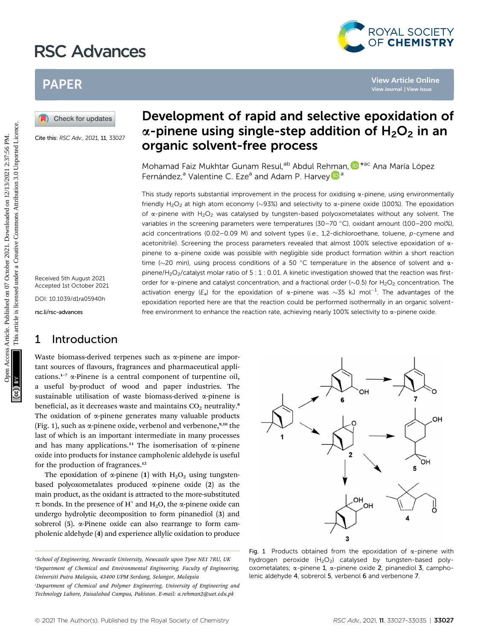# RSC Advances



## PAPER

Cite this: RSC Adv., 2021, 11, 33027

Received 5th August 2021 Accepted 1st October 2021 DOI: 10.1039/d1ra05940h

rsc.li/rsc-advances

### 1 Introduction

Waste biomass-derived terpenes such as  $\alpha$ -pinene are important sources of flavours, fragrances and pharmaceutical applications.<sup>1-7</sup>  $\alpha$ -Pinene is a central component of turpentine oil, a useful by-product of wood and paper industries. The sustainable utilisation of waste biomass-derived a-pinene is beneficial, as it decreases waste and maintains  $CO<sub>2</sub>$  neutrality.<sup>8</sup> The oxidation of  $\alpha$ -pinene generates many valuable products (Fig. 1), such as  $\alpha$ -pinene oxide, verbenol and verbenone,<sup>9,10</sup> the last of which is an important intermediate in many processes and has many applications.<sup>11</sup> The isomerisation of  $\alpha$ -pinene oxide into products for instance campholenic aldehyde is useful for the production of fragrances.<sup>12</sup>

The epoxidation of  $\alpha$ -pinene (1) with H<sub>2</sub>O<sub>2</sub> using tungstenbased polyoxometalates produced  $\alpha$ -pinene oxide (2) as the main product, as the oxidant is attracted to the more-substituted  $\pi$  bonds. In the presence of H<sup>+</sup> and H<sub>2</sub>O, the  $\alpha$ -pinene oxide can undergo hydrolytic decomposition to form pinanediol (3) and sobrerol  $(5)$ .  $\alpha$ -Pinene oxide can also rearrange to form campholenic aldehyde (4) and experience allylic oxidation to produce

## Development of rapid and selective epoxidation of  $\alpha$ -pinene using single-step addition of H<sub>2</sub>O<sub>2</sub> in an organic solvent-free process

Mohamad Faiz Mukhtar Gunam Resul,<sup>ab</sup> Abdul Re[hma](http://orcid.org/0000-0003-2911-3466)n[,](http://orcid.org/0000-0002-9017-5079) D<sup>\*ac</sup> Ana María López Fernández,<sup>a</sup> Valentine C. Eze<sup>a</sup> and Adam P. Harvey D<sup>a</sup>

This study reports substantial improvement in the process for oxidising  $\alpha$ -pinene, using environmentally friendly H<sub>2</sub>O<sub>2</sub> at high atom economy (~93%) and selectivity to  $\alpha$ -pinene oxide (100%). The epoxidation of  $\alpha$ -pinene with H<sub>2</sub>O<sub>2</sub> was catalysed by tungsten-based polyoxometalates without any solvent. The variables in the screening parameters were temperatures (30-70 °C), oxidant amount (100-200 mol%), acid concentrations (0.02–0.09 M) and solvent types (i.e., 1,2-dichloroethane, toluene, p-cymene and acetonitrile). Screening the process parameters revealed that almost 100% selective epoxidation of  $\alpha$ pinene to  $\alpha$ -pinene oxide was possible with negligible side product formation within a short reaction time ( $\sim$ 20 min), using process conditions of a 50 °C temperature in the absence of solvent and  $\alpha$ pinene/H<sub>2</sub>O<sub>2</sub>/catalyst molar ratio of 5 : 1 : 0.01. A kinetic investigation showed that the reaction was firstorder for  $\alpha$ -pinene and catalyst concentration, and a fractional order ( $\sim$ 0.5) for H<sub>2</sub>O<sub>2</sub> concentration. The activation energy ( $E_a$ ) for the epoxidation of  $\alpha$ -pinene was  $\sim$ 35 kJ mol<sup>-1</sup>. The advantages of the epoxidation reported here are that the reaction could be performed isothermally in an organic solventfree environment to enhance the reaction rate, achieving nearly 100% selectivity to a-pinene oxide. **PAPER**<br> **(a)** Cheek for updates<br> **CEREMONAL SECTION CONSULT CONSULTS CONSULTS CONSULTS CONSULTS CONSULTS CONSULTS CONSULTS CONSULTS CONSULTS CONSULTS CONSULTS CONSULTS CONSULTS CONSULTS CONSULTS CONSULTS CONSULTS CONSULT** 



Fig. 1 Products obtained from the epoxidation of  $\alpha$ -pinene with hydrogen peroxide  $(H_2O_2)$  catalysed by tungsten-based polyoxometalates;  $\alpha$ -pinene 1,  $\alpha$ -pinene oxide 2, pinanediol 3, campholenic aldehyde 4, sobrerol 5, verbenol 6 and verbenone 7.

a School of Engineering, Newcastle University, Newcastle upon Tyne NE1 7RU, UK b Department of Chemical and Environmental Engineering, Faculty of Engineering, Universiti Putra Malaysia, 43400 UPM Serdang, Selangor, Malaysia

Department of Chemical and Polymer Engineering, University of Engineering and Technology Lahore, Faisalabad Campus, Pakistan. E-mail: a.rehman2@uet.edu.pk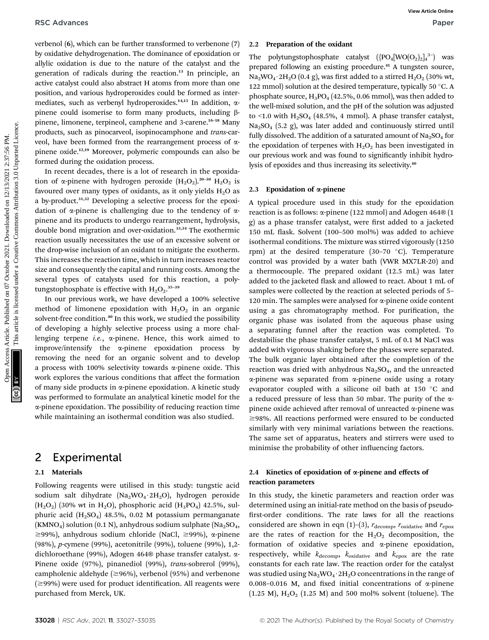verbenol (6), which can be further transformed to verbenone (7) by oxidative dehydrogenation. The dominance of epoxidation or allylic oxidation is due to the nature of the catalyst and the generation of radicals during the reaction.<sup>13</sup> In principle, an active catalyst could also abstract H atoms from more than one position, and various hydroperoxides could be formed as intermediates, such as verbenyl hydroperoxides.<sup>14,15</sup> In addition,  $\alpha$ pinene could isomerise to form many products, including bpinene, limonene, terpineol, camphene and 3-carene.<sup>16-18</sup> Many products, such as pinocarveol, isopinocamphone and trans-carveol, have been formed from the rearrangement process of  $\alpha$ pinene oxide.12,19 Moreover, polymeric compounds can also be formed during the oxidation process.

In recent decades, there is a lot of research in the epoxidation of  $\alpha$ -pinene with hydrogen peroxide  $(H_2O_2)$ <sup>20–30</sup>  $H_2O_2$  is favoured over many types of oxidants, as it only yields  $H_2O$  as a by-product.<sup>31,32</sup> Developing a selective process for the epoxidation of  $\alpha$ -pinene is challenging due to the tendency of  $\alpha$ pinene and its products to undergo rearrangement, hydrolysis, double bond migration and over-oxidation.<sup>33,34</sup> The exothermic reaction usually necessitates the use of an excessive solvent or the drop-wise inclusion of an oxidant to mitigate the exotherm. This increases the reaction time, which in turn increases reactor size and consequently the capital and running costs. Among the several types of catalysts used for this reaction, a polytungstophosphate is effective with  $H_2O_2$ .<sup>35-39</sup>

In our previous work, we have developed a 100% selective method of limonene epoxidation with  $H_2O_2$  in an organic solvent-free condition.<sup>40</sup> In this work, we studied the possibility of developing a highly selective process using a more challenging terpene i.e., a-pinene. Hence, this work aimed to improve/intensify the a-pinene epoxidation process by removing the need for an organic solvent and to develop a process with 100% selectivity towards  $\alpha$ -pinene oxide. This work explores the various conditions that affect the formation of many side products in a-pinene epoxidation. A kinetic study was performed to formulate an analytical kinetic model for the a-pinene epoxidation. The possibility of reducing reaction time while maintaining an isothermal condition was also studied.

### 2 Experimental

### 2.1 Materials

Following reagents were utilised in this study: tungstic acid sodium salt dihydrate (Na<sub>2</sub>WO<sub>4</sub>·2H<sub>2</sub>O), hydrogen peroxide  $(H_2O_2)$  (30% wt in H<sub>2</sub>O), phosphoric acid (H<sub>3</sub>PO<sub>4</sub>) 42.5%, sulphuric acid  $(H<sub>2</sub>SO<sub>4</sub>)$  48.5%, 0.02 M potassium permanganate (KMNO<sub>4</sub>) solution (0.1 N), anhydrous sodium sulphate (Na<sub>2</sub>SO<sub>4</sub>,  $\geq$ 99%), anhydrous sodium chloride (NaCl,  $\geq$ 99%),  $\alpha$ -pinene (98%), p-cymene (99%), acetonitrile (99%), toluene (99%), 1,2 dichloroethane (99%), Adogen 464® phase transfer catalyst. a-Pinene oxide (97%), pinanediol (99%), trans-sobrerol (99%), campholenic aldehyde ( $\geq$ 96%), verbenol (95%) and verbenone  $(\geq$ 99%) were used for product identification. All reagents were purchased from Merck, UK.

#### 2.2 Preparation of the oxidant

The polytungstophosphate catalyst  $(\text{[PO}_4[\text{WO}(O_2)_2]_4^{3-})$  was prepared following an existing procedure.<sup>41</sup> A tungsten source,  $Na<sub>2</sub>WO<sub>4</sub>·2H<sub>2</sub>O (0.4 g)$ , was first added to a stirred  $H<sub>2</sub>O<sub>2</sub> (30% wt,$ 122 mmol) solution at the desired temperature, typically 50  $\degree$ C. A phosphate source,  $H_3PO_4$  (42.5%, 0.06 mmol), was then added to the well-mixed solution, and the pH of the solution was adjusted to <1.0 with  $H_2SO_4$  (48.5%, 4 mmol). A phase transfer catalyst,  $Na<sub>2</sub>SO<sub>4</sub>$  (5.2 g), was later added and continuously stirred until fully dissolved. The addition of a saturated amount of  $Na<sub>2</sub>SO<sub>4</sub>$  for the epoxidation of terpenes with  $H_2O_2$  has been investigated in our previous work and was found to signicantly inhibit hydrolysis of epoxides and thus increasing its selectivity.<sup>40</sup>

### 2.3 Epoxidation of  $\alpha$ -pinene

A typical procedure used in this study for the epoxidation reaction is as follows: a-pinene (122 mmol) and Adogen 464® (1 g) as a phase transfer catalyst, were first added to a jacketed 150 mL flask. Solvent (100-500 mol%) was added to achieve isothermal conditions. The mixture was stirred vigorously (1250 rpm) at the desired temperature (30-70  $^{\circ}$ C). Temperature control was provided by a water bath (VWR MX7LR-20) and a thermocouple. The prepared oxidant (12.5 mL) was later added to the jacketed flask and allowed to react. About 1 mL of samples were collected by the reaction at selected periods of 5– 120 min. The samples were analysed for  $\alpha$ -pinene oxide content using a gas chromatography method. For purification, the organic phase was isolated from the aqueous phase using a separating funnel after the reaction was completed. To destabilise the phase transfer catalyst, 5 mL of 0.1 M NaCl was added with vigorous shaking before the phases were separated. The bulk organic layer obtained after the completion of the reaction was dried with anhydrous  $Na<sub>2</sub>SO<sub>4</sub>$ , and the unreacted a-pinene was separated from a-pinene oxide using a rotary evaporator coupled with a silicone oil bath at 150  $^{\circ}$ C and a reduced pressure of less than 50 mbar. The purity of the  $\alpha$ pinene oxide achieved after removal of unreacted  $\alpha$ -pinene was  $\geq$ 98%. All reactions performed were ensured to be conducted similarly with very minimal variations between the reactions. The same set of apparatus, heaters and stirrers were used to minimise the probability of other influencing factors. RSC Advances Continue the model of verifices are continue of the polytomagnophopale can be a main of the continue of resolution of the polytopale can be a main of the continue of the continue of the continue of the contin

### 2.4 Kinetics of epoxidation of  $\alpha$ -pinene and effects of reaction parameters

In this study, the kinetic parameters and reaction order was determined using an initial-rate method on the basis of pseudo first-order conditions. The rate laws for all the reactions considered are shown in eqn (1)–(3),  $r_{\text{decomp}}$ ,  $r_{\text{oxidative}}$  and  $r_{\text{epox}}$ are the rates of reaction for the  $H_2O_2$  decomposition, the formation of oxidative species and  $\alpha$ -pinene epoxidation, respectively, while  $k_{\text{decomp}}$ ,  $k_{\text{oxidative}}$  and  $k_{\text{epox}}$  are the rate constants for each rate law. The reaction order for the catalyst was studied using  $Na<sub>2</sub>WO<sub>4</sub>·2H<sub>2</sub>O$  concentrations in the range of 0.008-0.016 M, and fixed initial concentrations of  $\alpha$ -pinene  $(1.25 \text{ M})$ ,  $H_2O_2$   $(1.25 \text{ M})$  and 500 mol% solvent (toluene). The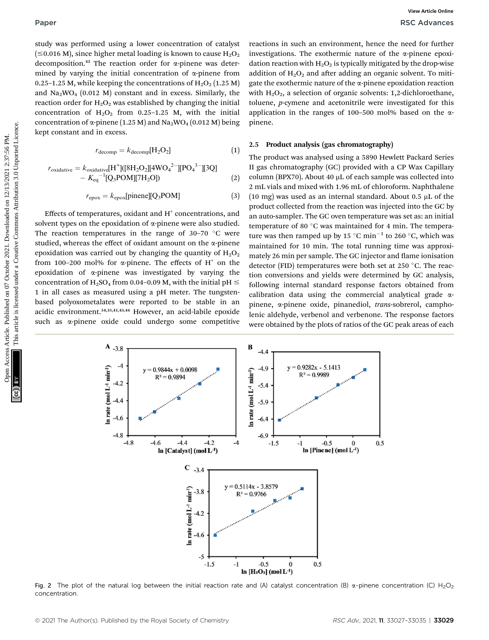study was performed using a lower concentration of catalyst  $(\leq 0.016$  M), since higher metal loading is known to cause H<sub>2</sub>O<sub>2</sub> decomposition.<sup>42</sup> The reaction order for  $\alpha$ -pinene was determined by varying the initial concentration of  $\alpha$ -pinene from 0.25–1.25 M, while keeping the concentrations of  $H_2O_2$  (1.25 M) and  $\text{Na}_2\text{WO}_4$  (0.012 M) constant and in excess. Similarly, the reaction order for  $H_2O_2$  was established by changing the initial concentration of  $H_2O_2$  from 0.25-1.25 M, with the initial concentration of  $\alpha$ -pinene (1.25 M) and Na<sub>2</sub>WO<sub>4</sub> (0.012 M) being kept constant and in excess.

$$
r_{\text{decomp}} = k_{\text{decomp}}[H_2O_2] \tag{1}
$$

$$
r_{\text{oxidative}} = k_{\text{oxidative}}[H^+]([8H_2O_2][4WO_4^{2-}][PO_4^{3-}][3Q] - K_{\text{eq}}^{-1}[Q_3POM][7H_2O])
$$
 (2)

$$
r_{\rm epox} = k_{\rm epox}[\text{pinene}][Q_3\text{POM}] \tag{3}
$$

Effects of temperatures, oxidant and  $H^+$  concentrations, and solvent types on the epoxidation of  $\alpha$ -pinene were also studied. The reaction temperatures in the range of  $30-70$  °C were studied, whereas the effect of oxidant amount on the  $\alpha$ -pinene epoxidation was carried out by changing the quantity of  $H_2O_2$ from 100–200 mol% for  $\alpha$ -pinene. The effects of H<sup>+</sup> on the epoxidation of  $\alpha$ -pinene was investigated by varying the concentration of H<sub>2</sub>SO<sub>4</sub> from 0.04–0.09 M, with the initial pH  $\leq$ 1 in all cases as measured using a pH meter. The tungstenbased polyoxometalates were reported to be stable in an acidic environment.<sup>34,35,41,43,44</sup> However, an acid-labile epoxide such as a-pinene oxide could undergo some competitive

reactions in such an environment, hence the need for further investigations. The exothermic nature of the  $\alpha$ -pinene epoxidation reaction with  $H_2O_2$  is typically mitigated by the drop-wise addition of  $H_2O_2$  and after adding an organic solvent. To mitigate the exothermic nature of the a-pinene epoxidation reaction with  $H_2O_2$ , a selection of organic solvents: 1,2-dichloroethane, toluene, p-cymene and acetonitrile were investigated for this application in the ranges of 100–500 mol% based on the  $\alpha$ pinene.

### 2.5 Product analysis (gas chromatography)

The product was analysed using a 5890 Hewlett Packard Series II gas chromatography (GC) provided with a CP Wax Capillary column (BPX70). About 40 µL of each sample was collected into 2 mL vials and mixed with 1.96 mL of chloroform. Naphthalene (10 mg) was used as an internal standard. About  $0.5 \mu L$  of the product collected from the reaction was injected into the GC by an auto-sampler. The GC oven temperature was set as: an initial temperature of 80 $\degree$ C was maintained for 4 min. The temperature was then ramped up by 15 °C min<sup>-1</sup> to 260 °C, which was maintained for 10 min. The total running time was approximately 26 min per sample. The GC injector and flame ionisation detector (FID) temperatures were both set at 250  $^{\circ}$ C. The reaction conversions and yields were determined by GC analysis, following internal standard response factors obtained from calibration data using the commercial analytical grade  $\alpha$ pinene, a-pinene oxide, pinanediol, trans-sobrerol, campholenic aldehyde, verbenol and verbenone. The response factors were obtained by the plots of ratios of the GC peak areas of each Paper<br>
Max between the relation of catalystics. The evolution is more than the property of the relation of the relation of  $\mu$  is the relation of the relation of the relation of the relation of the relation of the relati



Fig. 2 The plot of the natural log between the initial reaction rate and (A) catalyst concentration (B)  $\alpha$ -pinene concentration (C) H<sub>2</sub>O<sub>2</sub> concentration.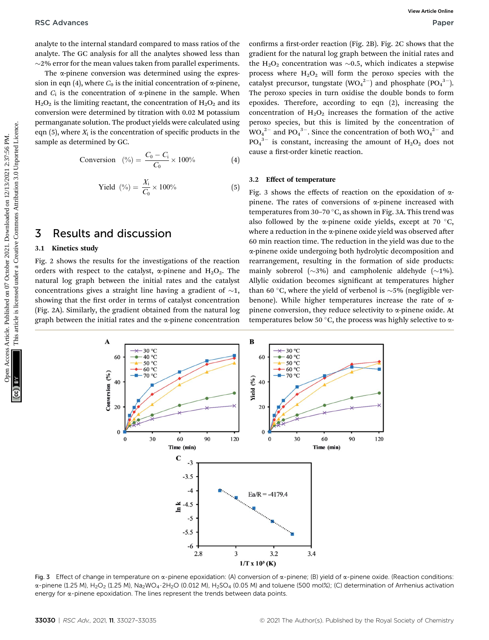analyte to the internal standard compared to mass ratios of the analyte. The GC analysis for all the analytes showed less than  $\sim$ 2% error for the mean values taken from parallel experiments.

The  $\alpha$ -pinene conversion was determined using the expression in eqn (4), where  $C_0$  is the initial concentration of  $\alpha$ -pinene, and  $C_i$  is the concentration of  $\alpha$ -pinene in the sample. When  $H_2O_2$  is the limiting reactant, the concentration of  $H_2O_2$  and its conversion were determined by titration with 0.02 M potassium permanganate solution. The product yields were calculated using eqn  $(5)$ , where  $X_i$  is the concentration of specific products in the sample as determined by GC.

$$
Conversion \quad (\%) = \frac{C_0 - C_i}{C_0} \times 100\% \tag{4}
$$

Yield (
$$
% = \frac{X_i}{C_0} \times 100\%
$$
 (5)

### 3 Results and discussion

### 3.1 Kinetics study

Fig. 2 shows the results for the investigations of the reaction orders with respect to the catalyst,  $\alpha$ -pinene and H<sub>2</sub>O<sub>2</sub>. The natural log graph between the initial rates and the catalyst concentrations gives a straight line having a gradient of  $\sim$ 1, showing that the first order in terms of catalyst concentration (Fig. 2A). Similarly, the gradient obtained from the natural log graph between the initial rates and the  $\alpha$ -pinene concentration

confirms a first-order reaction (Fig. 2B). Fig. 2C shows that the gradient for the natural log graph between the initial rates and the H<sub>2</sub>O<sub>2</sub> concentration was  $\sim$ 0.5, which indicates a stepwise process where  $H_2O_2$  will form the peroxo species with the catalyst precursor, tungstate  $(WO_4^2)$  and phosphate  $(PO_4^3)$ . The peroxo species in turn oxidise the double bonds to form epoxides. Therefore, according to eqn (2), increasing the concentration of  $H_2O_2$  increases the formation of the active peroxo species, but this is limited by the concentration of  $WO_4^2$ <sup>-</sup> and PO<sub>4</sub><sup>3-</sup>. Since the concentration of both  $WO_4^2$ <sup>-</sup> and  $PO_4^{3-}$  is constant, increasing the amount of  $H_2O_2$  does not cause a first-order kinetic reaction.

### 3.2 Effect of temperature

Fig. 3 shows the effects of reaction on the epoxidation of  $\alpha$ pinene. The rates of conversions of  $\alpha$ -pinene increased with temperatures from  $30-70$  °C, as shown in Fig. 3A. This trend was also followed by the  $\alpha$ -pinene oxide yields, except at 70 °C, where a reduction in the  $\alpha$ -pinene oxide yield was observed after 60 min reaction time. The reduction in the yield was due to the a-pinene oxide undergoing both hydrolytic decomposition and rearrangement, resulting in the formation of side products: mainly sobrerol ( $\sim$ 3%) and campholenic aldehyde ( $\sim$ 1%). Allylic oxidation becomes significant at temperatures higher than 60 °C, where the yield of verbenol is  $\sim$ 5% (negligible verbenone). While higher temperatures increase the rate of  $\alpha$ pinene conversion, they reduce selectivity to  $\alpha$ -pinene oxide. At temperatures below 50 $^{\circ}$ C, the process was highly selective to  $\alpha$ -RSC Advances Articles. Published on 07 October 2021. The article is the conduct of the common of the common of the common of the case of the case of the case of the case of the case of the case of the case of the case of



Fig. 3 Effect of change in temperature on  $\alpha$ -pinene epoxidation: (A) conversion of  $\alpha$ -pinene; (B) yield of  $\alpha$ -pinene oxide. (Reaction conditions:  $\alpha$ -pinene (1.25 M), H<sub>2</sub>O<sub>2</sub> (1.25 M), Na<sub>2</sub>WO<sub>4</sub> · 2H<sub>2</sub>O (0.012 M), H<sub>2</sub>SO<sub>4</sub> (0.05 M) and toluene (500 mol%); (C) determination of Arrhenius activation energy for  $\alpha$ -pinene epoxidation. The lines represent the trends between data points.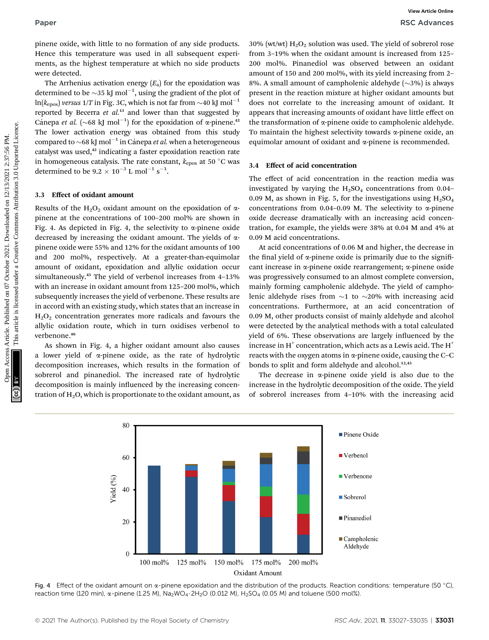pinene oxide, with little to no formation of any side products. Hence this temperature was used in all subsequent experiments, as the highest temperature at which no side products were detected.

The Arrhenius activation energy  $(E_a)$  for the epoxidation was determined to be  $\sim$ 35 kJ mol<sup>-1</sup>, using the gradient of the plot of  $ln(k_{\text{epox}})$  versus 1/T in Fig. 3C, which is not far from  $\sim$  40 kJ mol<sup>-1</sup> reported by Becerra et  $al$ <sup>13</sup> and lower than that suggested by Cánepa *et al.* (~68 kJ mol<sup>-1</sup>) for the epoxidation of  $\alpha$ -pinene.<sup>42</sup> The lower activation energy was obtained from this study compared to  $\sim$  68 kJ mol<sup>-1</sup> in Cánepa *et al.* when a heterogeneous catalyst was used,<sup>42</sup> indicating a faster epoxidation reaction rate in homogeneous catalysis. The rate constant,  $k_{\text{enox}}$  at 50 °C was determined to be  $9.2 \times 10^{-3}$  L mol<sup>-1</sup> s<sup>-1</sup>.

### 3.3 Effect of oxidant amount

Results of the H<sub>2</sub>O<sub>2</sub> oxidant amount on the epoxidation of  $\alpha$ pinene at the concentrations of 100–200 mol% are shown in Fig. 4. As depicted in Fig. 4, the selectivity to  $\alpha$ -pinene oxide decreased by increasing the oxidant amount. The yields of apinene oxide were 55% and 12% for the oxidant amounts of 100 and 200 mol%, respectively. At a greater-than-equimolar amount of oxidant, epoxidation and allylic oxidation occur simultaneously.<sup>45</sup> The yield of verbenol increases from 4–13% with an increase in oxidant amount from 125–200 mol%, which subsequently increases the yield of verbenone. These results are in accord with an existing study, which states that an increase in  $H<sub>2</sub>O<sub>2</sub>$  concentration generates more radicals and favours the allylic oxidation route, which in turn oxidises verbenol to verbenone.<sup>46</sup> Paper<br>
Published on 07 October 2021. The strainer was used in all solenoid and the strainer in the strainer in the strainer in the strainer in the strainer in the strainer in the strainer in the strainer in the strainer i

As shown in Fig. 4, a higher oxidant amount also causes a lower yield of  $\alpha$ -pinene oxide, as the rate of hydrolytic decomposition increases, which results in the formation of sobrerol and pinanediol. The increased rate of hydrolytic decomposition is mainly influenced by the increasing concentration of  $H_2O$ , which is proportionate to the oxidant amount, as

30% (wt/wt)  $H_2O_2$  solution was used. The yield of sobrerol rose from 3–19% when the oxidant amount is increased from 125– 200 mol%. Pinanediol was observed between an oxidant amount of 150 and 200 mol%, with its yield increasing from 2– 8%. A small amount of campholenic aldehyde  $(\sim$ 3%) is always present in the reaction mixture at higher oxidant amounts but does not correlate to the increasing amount of oxidant. It appears that increasing amounts of oxidant have little effect on the transformation of  $\alpha$ -pinene oxide to campholenic aldehyde. To maintain the highest selectivity towards  $\alpha$ -pinene oxide, an equimolar amount of oxidant and a-pinene is recommended.

#### 3.4 Effect of acid concentration

The effect of acid concentration in the reaction media was investigated by varying the  $H_2SO_4$  concentrations from 0.04– 0.09 M, as shown in Fig. 5, for the investigations using  $H_2SO_4$ concentrations from 0.04-0.09 M. The selectivity to  $\alpha$ -pinene oxide decrease dramatically with an increasing acid concentration, for example, the yields were 38% at 0.04 M and 4% at 0.09 M acid concentrations.

At acid concentrations of 0.06 M and higher, the decrease in the final yield of  $\alpha$ -pinene oxide is primarily due to the significant increase in a-pinene oxide rearrangement; a-pinene oxide was progressively consumed to an almost complete conversion, mainly forming campholenic aldehyde. The yield of campholenic aldehyde rises from  $\sim$ 1 to  $\sim$ 20% with increasing acid concentrations. Furthermore, at an acid concentration of 0.09 M, other products consist of mainly aldehyde and alcohol were detected by the analytical methods with a total calculated yield of 6%. These observations are largely influenced by the increase in  $H^+$  concentration, which acts as a Lewis acid. The  $H^+$ reacts with the oxygen atoms in  $\alpha$ -pinene oxide, causing the C–C bonds to split and form aldehyde and alcohol.<sup>12,45</sup>

The decrease in  $\alpha$ -pinene oxide yield is also due to the increase in the hydrolytic decomposition of the oxide. The yield of sobrerol increases from 4–10% with the increasing acid



Fig. 4 Effect of the oxidant amount on  $\alpha$ -pinene epoxidation and the distribution of the products. Reaction conditions: temperature (50 °C), reaction time (120 min),  $\alpha$ -pinene (1.25 M), Na<sub>2</sub>WO<sub>4</sub> · 2H<sub>2</sub>O (0.012 M), H<sub>2</sub>SO<sub>4</sub> (0.05 M) and toluene (500 mol%).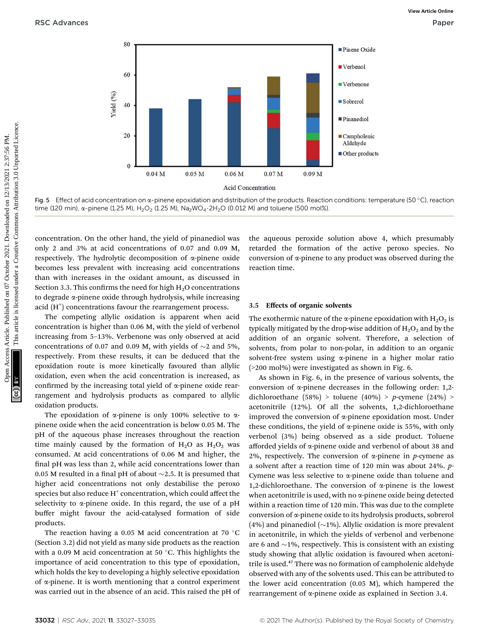

Fig. 5 Effect of acid concentration on  $\alpha$ -pinene epoxidation and distribution of the products. Reaction conditions: temperature (50 °C), reaction time (120 min),  $\alpha$ -pinene (1.25 M), H<sub>2</sub>O<sub>2</sub> (1.25 M), Na<sub>2</sub>WO<sub>4</sub> · 2H<sub>2</sub>O (0.012 M) and toluene (500 mol%).

concentration. On the other hand, the yield of pinanediol was only 2 and 3% at acid concentrations of 0.07 and 0.09 M, respectively. The hydrolytic decomposition of  $\alpha$ -pinene oxide becomes less prevalent with increasing acid concentrations than with increases in the oxidant amount, as discussed in Section 3.3. This confirms the need for high  $H_2O$  concentrations to degrade a-pinene oxide through hydrolysis, while increasing acid  $(H<sup>+</sup>)$  concentrations favour the rearrangement process.

The competing allylic oxidation is apparent when acid concentration is higher than 0.06 M, with the yield of verbenol increasing from 5–13%. Verbenone was only observed at acid concentrations of 0.07 and 0.09 M, with yields of  $\sim$ 2 and 5%, respectively. From these results, it can be deduced that the epoxidation route is more kinetically favoured than allylic oxidation, even when the acid concentration is increased, as confirmed by the increasing total yield of  $\alpha$ -pinene oxide rearrangement and hydrolysis products as compared to allylic oxidation products.

The epoxidation of  $\alpha$ -pinene is only 100% selective to  $\alpha$ pinene oxide when the acid concentration is below 0.05 M. The pH of the aqueous phase increases throughout the reaction time mainly caused by the formation of  $H_2O$  as  $H_2O_2$  was consumed. At acid concentrations of 0.06 M and higher, the final pH was less than 2, while acid concentrations lower than 0.05 M resulted in a final pH of about  $\sim$ 2.5. It is presumed that higher acid concentrations not only destabilise the peroxo species but also reduce  $H^+$  concentration, which could affect the selectivity to  $\alpha$ -pinene oxide. In this regard, the use of a pH buffer might favour the acid-catalysed formation of side products.

The reaction having a 0.05 M acid concentration at 70  $^{\circ}$ C (Section 3.2) did not yield as many side products as the reaction with a 0.09 M acid concentration at 50  $^{\circ}$ C. This highlights the importance of acid concentration to this type of epoxidation, which holds the key to developing a highly selective epoxidation of  $\alpha$ -pinene. It is worth mentioning that a control experiment was carried out in the absence of an acid. This raised the pH of the aqueous peroxide solution above 4, which presumably retarded the formation of the active peroxo species. No conversion of a-pinene to any product was observed during the reaction time.

### 3.5 Effects of organic solvents

The exothermic nature of the  $\alpha$ -pinene epoxidation with H<sub>2</sub>O<sub>2</sub> is typically mitigated by the drop-wise addition of  $H_2O_2$  and by the addition of an organic solvent. Therefore, a selection of solvents, from polar to non-polar, in addition to an organic solvent-free system using  $\alpha$ -pinene in a higher molar ratio (>200 mol%) were investigated as shown in Fig. 6.

As shown in Fig. 6, in the presence of various solvents, the conversion of a-pinene decreases in the following order: 1,2 dichloroethane  $(58%)$  > toluene  $(40%)$  > p-cymene  $(24%)$  > acetonitrile (12%). Of all the solvents, 1,2-dichloroethane improved the conversion of  $\alpha$ -pinene epoxidation most. Under these conditions, the yield of  $\alpha$ -pinene oxide is 55%, with only verbenol (3%) being observed as a side product. Toluene afforded yields of a-pinene oxide and verbenol of about 38 and 2%, respectively. The conversion of  $\alpha$ -pinene in *p*-cymene as a solvent after a reaction time of 120 min was about 24%.  $p$ -Cymene was less selective to a-pinene oxide than toluene and 1,2-dichloroethane. The conversion of  $\alpha$ -pinene is the lowest when acetonitrile is used, with no  $\alpha$ -pinene oxide being detected within a reaction time of 120 min. This was due to the complete conversion of a-pinene oxide to its hydrolysis products, sobrerol (4%) and pinanediol ( $\sim$ 1%). Allylic oxidation is more prevalent in acetonitrile, in which the yields of verbenol and verbenone are 6 and  $\sim$ 1%, respectively. This is consistent with an existing study showing that allylic oxidation is favoured when acetonitrile is used.<sup>47</sup> There was no formation of campholenic aldehyde observed with any of the solvents used. This can be attributed to the lower acid concentration (0.05 M), which hampered the rearrangement of a-pinene oxide as explained in Section 3.4.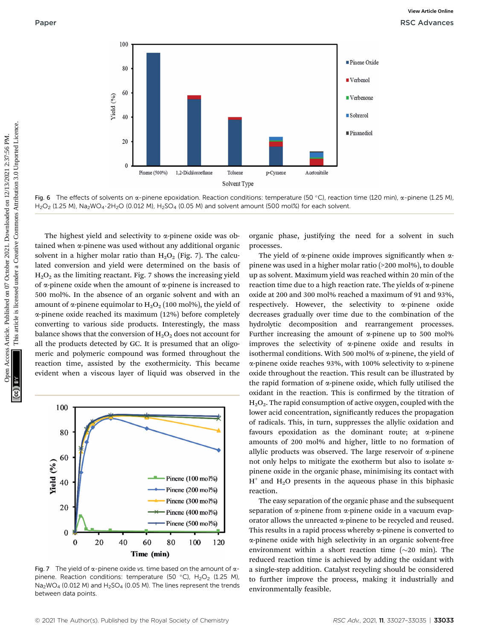

Fig. 6 The effects of solvents on  $\alpha$ -pinene epoxidation. Reaction conditions: temperature (50 °C), reaction time (120 min),  $\alpha$ -pinene (1.25 M),  $H_2O_2$  (1.25 M), Na<sub>2</sub>WO<sub>4</sub> · 2H<sub>2</sub>O (0.012 M), H<sub>2</sub>SO<sub>4</sub> (0.05 M) and solvent amount (500 mol%) for each solvent.

The highest yield and selectivity to  $\alpha$ -pinene oxide was obtained when  $\alpha$ -pinene was used without any additional organic solvent in a higher molar ratio than  $H_2O_2$  (Fig. 7). The calculated conversion and yield were determined on the basis of  $H<sub>2</sub>O<sub>2</sub>$  as the limiting reactant. Fig. 7 shows the increasing yield of  $\alpha$ -pinene oxide when the amount of  $\alpha$ -pinene is increased to 500 mol%. In the absence of an organic solvent and with an amount of  $\alpha$ -pinene equimolar to  $H_2O_2$  (100 mol%), the yield of a-pinene oxide reached its maximum (12%) before completely converting to various side products. Interestingly, the mass balance shows that the conversion of  $H_2O_2$  does not account for all the products detected by GC. It is presumed that an oligomeric and polymeric compound was formed throughout the reaction time, assisted by the exothermicity. This became evident when a viscous layer of liquid was observed in the



Fig. 7 The yield of  $\alpha$ -pinene oxide vs. time based on the amount of  $\alpha$ pinene. Reaction conditions: temperature (50 °C),  $H_2O_2$  (1.25 M),  $Na<sub>2</sub>WO<sub>4</sub>$  (0.012 M) and  $H<sub>2</sub>SO<sub>4</sub>$  (0.05 M). The lines represent the trends between data points.

organic phase, justifying the need for a solvent in such processes.

The yield of  $\alpha$ -pinene oxide improves significantly when  $\alpha$ pinene was used in a higher molar ratio (>200 mol%), to double up as solvent. Maximum yield was reached within 20 min of the reaction time due to a high reaction rate. The yields of  $\alpha$ -pinene oxide at 200 and 300 mol% reached a maximum of 91 and 93%, respectively. However, the selectivity to a-pinene oxide decreases gradually over time due to the combination of the hydrolytic decomposition and rearrangement processes. Further increasing the amount of  $\alpha$ -pinene up to 500 mol% improves the selectivity of  $\alpha$ -pinene oxide and results in isothermal conditions. With 500 mol% of  $\alpha$ -pinene, the yield of a-pinene oxide reaches 93%, with 100% selectivity to a-pinene oxide throughout the reaction. This result can be illustrated by the rapid formation of  $\alpha$ -pinene oxide, which fully utilised the oxidant in the reaction. This is confirmed by the titration of  $H<sub>2</sub>O<sub>2</sub>$ . The rapid consumption of active oxygen, coupled with the lower acid concentration, significantly reduces the propagation of radicals. This, in turn, suppresses the allylic oxidation and favours epoxidation as the dominant route; at a-pinene amounts of 200 mol% and higher, little to no formation of allylic products was observed. The large reservoir of  $\alpha$ -pinene not only helps to mitigate the exotherm but also to isolate  $\alpha$ pinene oxide in the organic phase, minimising its contact with  $H^+$  and  $H_2O$  presents in the aqueous phase in this biphasic reaction.

The easy separation of the organic phase and the subsequent separation of  $\alpha$ -pinene from  $\alpha$ -pinene oxide in a vacuum evaporator allows the unreacted  $\alpha$ -pinene to be recycled and reused. This results in a rapid process whereby  $\alpha$ -pinene is converted to a-pinene oxide with high selectivity in an organic solvent-free environment within a short reaction time  $(\sim 20 \text{ min})$ . The reduced reaction time is achieved by adding the oxidant with a single-step addition. Catalyst recycling should be considered to further improve the process, making it industrially and environmentally feasible.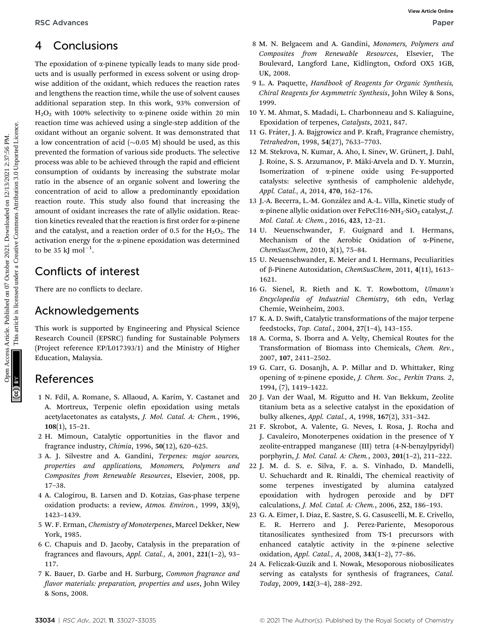## 4 Conclusions

The epoxidation of  $\alpha$ -pinene typically leads to many side products and is usually performed in excess solvent or using dropwise addition of the oxidant, which reduces the reaction rates and lengthens the reaction time, while the use of solvent causes additional separation step. In this work, 93% conversion of  $H_2O_2$  with 100% selectivity to  $\alpha$ -pinene oxide within 20 min reaction time was achieved using a single-step addition of the oxidant without an organic solvent. It was demonstrated that a low concentration of acid  $(\sim 0.05 \text{ M})$  should be used, as this prevented the formation of various side products. The selective process was able to be achieved through the rapid and efficient consumption of oxidants by increasing the substrate molar ratio in the absence of an organic solvent and lowering the concentration of acid to allow a predominantly epoxidation reaction route. This study also found that increasing the amount of oxidant increases the rate of allylic oxidation. Reaction kinetics revealed that the reaction is first order for  $\alpha$ -pinene and the catalyst, and a reaction order of 0.5 for the  $H_2O_2$ . The activation energy for the  $\alpha$ -pinene epoxidation was determined to be 35 kJ  $\mathrm{mol}^{-1}$ . **PSC Advances**<br> **2021. Conclusion** of spinors and **2** October 2021. The considerable of the considerable of spinors are the considerable of the considerable of the considerable of the considerable of the considerable is

## Conflicts of interest

There are no conflicts to declare.

## Acknowledgements

This work is supported by Engineering and Physical Science Research Council (EPSRC) funding for Sustainable Polymers (Project reference EP/L017393/1) and the Ministry of Higher Education, Malaysia.

## References

- 1 N. Fdil, A. Romane, S. Allaoud, A. Karim, Y. Castanet and A. Mortreux, Terpenic olefin epoxidation using metals acetylacetonates as catalysts, J. Mol. Catal. A: Chem., 1996, 108(1), 15–21.
- 2 H. Mimoun, Catalytic opportunities in the flavor and fragrance industry, Chimia, 1996, 50(12), 620–625.
- 3 A. J. Silvestre and A. Gandini, Terpenes: major sources, properties and applications, Monomers, Polymers and Composites from Renewable Resources, Elsevier, 2008, pp. 17–38.
- 4 A. Calogirou, B. Larsen and D. Kotzias, Gas-phase terpene oxidation products: a review, Atmos. Environ., 1999, 33(9), 1423–1439.
- 5 W. F. Erman, Chemistry of Monoterpenes, Marcel Dekker, New York, 1985.
- 6 C. Chapuis and D. Jacoby, Catalysis in the preparation of fragrances and flavours, Appl. Catal., A,  $2001$ ,  $221(1-2)$ ,  $93-$ 117.
- 7 K. Bauer, D. Garbe and H. Surburg, Common fragrance and flavor materials: preparation, properties and uses, John Wiley & Sons, 2008.
- 8 M. N. Belgacem and A. Gandini, Monomers, Polymers and Composites from Renewable Resources, Elsevier, The Boulevard, Langford Lane, Kidlington, Oxford OX5 1GB, UK, 2008.
- 9 L. A. Paquette, Handbook of Reagents for Organic Synthesis, Chiral Reagents for Asymmetric Synthesis, John Wiley & Sons, 1999.
- 10 Y. M. Ahmat, S. Madadi, L. Charbonneau and S. Kaliaguine, Epoxidation of terpenes, Catalysts, 2021, 847.
- 11 G. Fráter, J. A. Bajgrowicz and P. Kraft, Fragrance chemistry, Tetrahedron, 1998, 54(27), 7633–7703.
- 12 M. Stekrova, N. Kumar, A. Aho, I. Sinev, W. Grünert, J. Dahl, J. Roine, S. S. Arzumanov, P. Mäki-Arvela and D. Y. Murzin, Isomerization of a-pinene oxide using Fe-supported catalysts: selective synthesis of campholenic aldehyde, Appl. Catal., A, 2014, 470, 162–176.
- 13 J.-A. Becerra, L.-M. Gonz´alez and A.-L. Villa, Kinetic study of  $\alpha$ -pinene allylic oxidation over FePcCl16-NH<sub>2</sub>-SiO<sub>2</sub> catalyst, *J.* Mol. Catal. A: Chem., 2016, 423, 12–21.
- 14 U. Neuenschwander, F. Guignard and I. Hermans, Mechanism of the Aerobic Oxidation of  $\alpha$ -Pinene, ChemSusChem, 2010, 3(1), 75–84.
- 15 U. Neuenschwander, E. Meier and I. Hermans, Peculiarities of b-Pinene Autoxidation, ChemSusChem, 2011, 4(11), 1613– 1621.
- 16 G. Sienel, R. Rieth and K. T. Rowbottom, Ulmann's Encyclopedia of Industrial Chemistry, 6th edn, Verlag Chemie, Weinheim, 2003.
- 17 K. A. D. Swift, Catalytic transformations of the major terpene feedstocks, Top. Catal., 2004, 27(1–4), 143–155.
- 18 A. Corma, S. Iborra and A. Velty, Chemical Routes for the Transformation of Biomass into Chemicals, Chem. Rev., 2007, 107, 2411–2502.
- 19 G. Carr, G. Dosanjh, A. P. Millar and D. Whittaker, Ring opening of a-pinene epoxide, J. Chem. Soc., Perkin Trans. 2, 1994, (7), 1419–1422.
- 20 J. Van der Waal, M. Rigutto and H. Van Bekkum, Zeolite titanium beta as a selective catalyst in the epoxidation of bulky alkenes, Appl. Catal., A, 1998, 167(2), 331–342.
- 21 F. Skrobot, A. Valente, G. Neves, I. Rosa, J. Rocha and J. Cavaleiro, Monoterpenes oxidation in the presence of Y zeolite-entrapped manganese (III) tetra (4-N-benzylpyridyl) porphyrin, J. Mol. Catal. A: Chem., 2003, 201(1–2), 211–222.
- 22 J. M. d. S. e. Silva, F. a. S. Vinhado, D. Mandelli, U. Schuchardt and R. Rinaldi, The chemical reactivity of some terpenes investigated by alumina catalyzed epoxidation with hydrogen peroxide and by DFT calculations, J. Mol. Catal. A: Chem., 2006, 252, 186–193.
- 23 G. A. Eimer, I. Diaz, E. Sastre, S. G. Casuscelli, M. E. Crivello, E. R. Herrero and J. Perez-Pariente, Mesoporous titanosilicates synthesized from TS-1 precursors with enhanced catalytic activity in the  $\alpha$ -pinene selective oxidation, Appl. Catal., A, 2008, 343(1–2), 77–86.
- 24 A. Feliczak-Guzik and I. Nowak, Mesoporous niobosilicates serving as catalysts for synthesis of fragrances, *Catal.* Today, 2009, 142(3–4), 288–292.